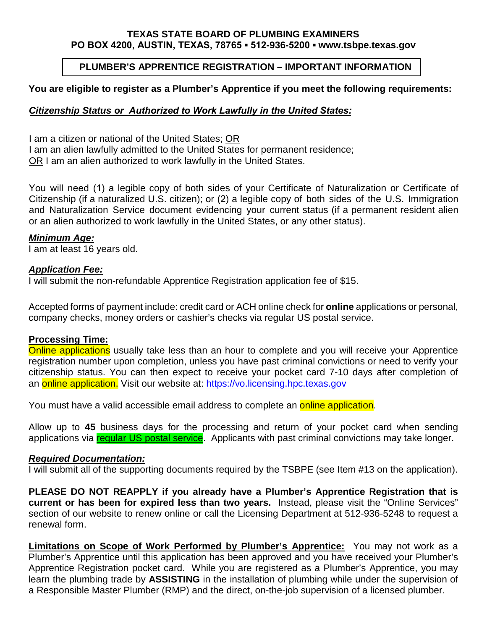#### **TEXAS STATE BOARD OF PLUMBING EXAMINERS PO BOX 4200, AUSTIN, TEXAS, 78765 ▪ 512-936-5200 ▪ www.tsbpe.texas.gov**

# **PLUMBER'S APPRENTICE REGISTRATION – IMPORTANT INFORMATION**

## **You are eligible to register as a Plumber's Apprentice if you meet the following requirements:**

# *Citizenship Status or Authorized to Work Lawfully in the United States:*

I am a citizen or national of the United States; OR

I am an alien lawfully admitted to the United States for permanent residence;

OR I am an alien authorized to work lawfully in the United States.

You will need (1) a legible copy of both sides of your Certificate of Naturalization or Certificate of Citizenship (if a naturalized U.S. citizen); or (2) a legible copy of both sides of the U.S. Immigration and Naturalization Service document evidencing your current status (if a permanent resident alien or an alien authorized to work lawfully in the United States, or any other status).

### *Minimum Age:*

I am at least 16 years old.

## *Application Fee:*

I will submit the non-refundable Apprentice Registration application fee of \$15.

Accepted forms of payment include: credit card or ACH online check for **online** applications or personal, company checks, money orders or cashier's checks via regular US postal service.

### **Processing Time:**

Online applications usually take less than an hour to complete and you will receive your Apprentice registration number upon completion, unless you have past criminal convictions or need to verify your citizenship status. You can then expect to receive your pocket card 7-10 days after completion of an online application. Visit our website at: https://vo.licensing.hpc.texas.gov

You must have a valid accessible email address to complete an **online application**.

Allow up to **45** business days for the processing and return of your pocket card when sending applications via regular US postal service. Applicants with past criminal convictions may take longer.

### *Required Documentation:*

I will submit all of the supporting documents required by the TSBPE (see Item #13 on the application).

**PLEASE DO NOT REAPPLY if you already have a Plumber's Apprentice Registration that is current or has been for expired less than two years.** Instead, please visit the "Online Services" section of our website to renew online or call the Licensing Department at 512-936-5248 to request a renewal form.

**Limitations on Scope of Work Performed by Plumber's Apprentice:** You may not work as a Plumber's Apprentice until this application has been approved and you have received your Plumber's Apprentice Registration pocket card. While you are registered as a Plumber's Apprentice, you may learn the plumbing trade by **ASSISTING** in the installation of plumbing while under the supervision of a Responsible Master Plumber (RMP) and the direct, on-the-job supervision of a licensed plumber.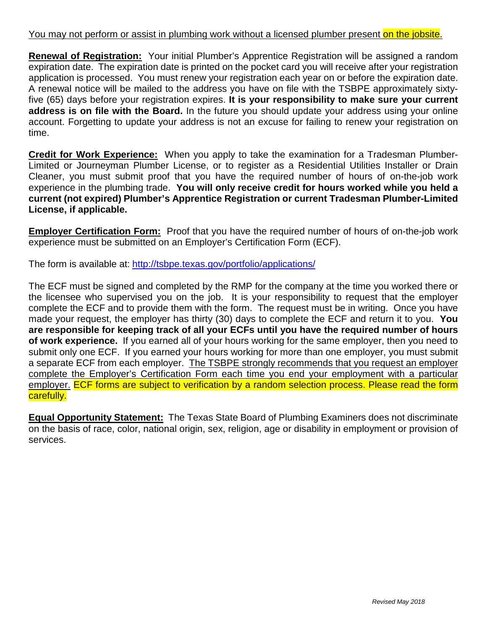## You may not perform or assist in plumbing work without a licensed plumber present on the jobsite.

**Renewal of Registration:** Your initial Plumber's Apprentice Registration will be assigned a random expiration date. The expiration date is printed on the pocket card you will receive after your registration application is processed. You must renew your registration each year on or before the expiration date. A renewal notice will be mailed to the address you have on file with the TSBPE approximately sixtyfive (65) days before your registration expires. **It is your responsibility to make sure your current address is on file with the Board.** In the future you should update your address using your online account. Forgetting to update your address is not an excuse for failing to renew your registration on time.

**Credit for Work Experience:** When you apply to take the examination for a Tradesman Plumber-Limited or Journeyman Plumber License, or to register as a Residential Utilities Installer or Drain Cleaner, you must submit proof that you have the required number of hours of on-the-job work experience in the plumbing trade. **You will only receive credit for hours worked while you held a current (not expired) Plumber's Apprentice Registration or current Tradesman Plumber-Limited License, if applicable.**

**Employer Certification Form:** Proof that you have the required number of hours of on-the-job work experience must be submitted on an Employer's Certification Form (ECF).

The form is available at: <http://tsbpe.texas.gov/portfolio/applications/>

The ECF must be signed and completed by the RMP for the company at the time you worked there or the licensee who supervised you on the job. It is your responsibility to request that the employer complete the ECF and to provide them with the form. The request must be in writing. Once you have made your request, the employer has thirty (30) days to complete the ECF and return it to you. **You are responsible for keeping track of all your ECFs until you have the required number of hours of work experience.** If you earned all of your hours working for the same employer, then you need to submit only one ECF. If you earned your hours working for more than one employer, you must submit a separate ECF from each employer. The TSBPE strongly recommends that you request an employer complete the Employer's Certification Form each time you end your employment with a particular employer. ECF forms are subject to verification by a random selection process. Please read the form carefully.

**Equal Opportunity Statement:** The Texas State Board of Plumbing Examiners does not discriminate on the basis of race, color, national origin, sex, religion, age or disability in employment or provision of services.